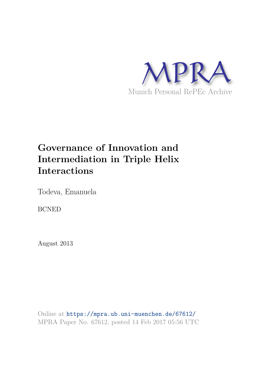

# **Governance of Innovation and Intermediation in Triple Helix Interactions**

Todeva, Emanuela

BCNED

August 2013

Online at https://mpra.ub.uni-muenchen.de/67612/ MPRA Paper No. 67612, posted 14 Feb 2017 05:56 UTC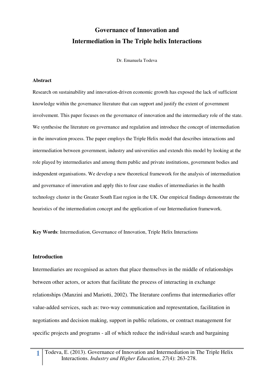# **Governance of Innovation and Intermediation in The Triple helix Interactions**

Dr. Emanuela Todeva

#### **Abstract**

Research on sustainability and innovation-driven economic growth has exposed the lack of sufficient knowledge within the governance literature that can support and justify the extent of government involvement. This paper focuses on the governance of innovation and the intermediary role of the state. We synthesise the literature on governance and regulation and introduce the concept of intermediation in the innovation process. The paper employs the Triple Helix model that describes interactions and intermediation between government, industry and universities and extends this model by looking at the role played by intermediaries and among them public and private institutions, government bodies and independent organisations. We develop a new theoretical framework for the analysis of intermediation and governance of innovation and apply this to four case studies of intermediaries in the health technology cluster in the Greater South East region in the UK. Our empirical findings demonstrate the heuristics of the intermediation concept and the application of our Intermediation framework.

**Key Words**: Intermediation, Governance of Innovation, Triple Helix Interactions

#### **Introduction**

Intermediaries are recognised as actors that place themselves in the middle of relationships between other actors, or actors that facilitate the process of interacting in exchange relationships (Manzini and Mariotti, 2002). The literature confirms that intermediaries offer value-added services, such as: two-way communication and representation, facilitation in negotiations and decision making, support in public relations, or contract management for specific projects and programs - all of which reduce the individual search and bargaining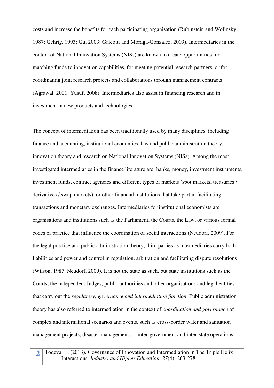costs and increase the benefits for each participating organisation (Rubinstein and Wolinsky, 1987; Gehrig, 1993; Gu, 2003; Galeotti and Moraga-Gonzalez, 2009). Intermediaries in the context of National Innovation Systems (NISs) are known to create opportunities for matching funds to innovation capabilities, for meeting potential research partners, or for coordinating joint research projects and collaborations through management contracts (Agrawal, 2001; Yusuf, 2008). Intermediaries also assist in financing research and in investment in new products and technologies.

The concept of intermediation has been traditionally used by many disciplines, including finance and accounting, institutional economics, law and public administration theory, innovation theory and research on National Innovation Systems (NISs). Among the most investigated intermediaries in the finance literature are: banks, money, investment instruments, investment funds, contract agencies and different types of markets (spot markets, treasuries / derivatives / swap markets), or other financial institutions that take part in facilitating transactions and monetary exchanges. Intermediaries for institutional economists are organisations and institutions such as the Parliament, the Courts, the Law, or various formal codes of practice that influence the coordination of social interactions (Neudorf, 2009). For the legal practice and public administration theory, third parties as intermediaries carry both liabilities and power and control in regulation, arbitration and facilitating dispute resolutions (Wilson, 1987, Neudorf, 2009). It is not the state as such, but state institutions such as the Courts, the independent Judges, public authorities and other organisations and legal entities that carry out the *regulatory, governance and intermediation function*. Public administration theory has also referred to intermediation in the context of *coordination and governance* of complex and international scenarios and events, such as cross-border water and sanitation management projects, disaster management, or inter-government and inter-state operations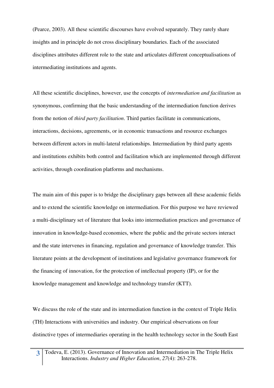(Pearce, 2003). All these scientific discourses have evolved separately. They rarely share insights and in principle do not cross disciplinary boundaries. Each of the associated disciplines attributes different role to the state and articulates different conceptualisations of intermediating institutions and agents.

All these scientific disciplines, however, use the concepts of *intermediation and facilitation* as synonymous, confirming that the basic understanding of the intermediation function derives from the notion of *third party facilitation*. Third parties facilitate in communications, interactions, decisions, agreements, or in economic transactions and resource exchanges between different actors in multi-lateral relationships. Intermediation by third party agents and institutions exhibits both control and facilitation which are implemented through different activities, through coordination platforms and mechanisms.

The main aim of this paper is to bridge the disciplinary gaps between all these academic fields and to extend the scientific knowledge on intermediation. For this purpose we have reviewed a multi-disciplinary set of literature that looks into intermediation practices and governance of innovation in knowledge-based economies, where the public and the private sectors interact and the state intervenes in financing, regulation and governance of knowledge transfer. This literature points at the development of institutions and legislative governance framework for the financing of innovation, for the protection of intellectual property (IP), or for the knowledge management and knowledge and technology transfer (KTT).

We discuss the role of the state and its intermediation function in the context of Triple Helix (TH) Interactions with universities and industry. Our empirical observations on four distinctive types of intermediaries operating in the health technology sector in the South East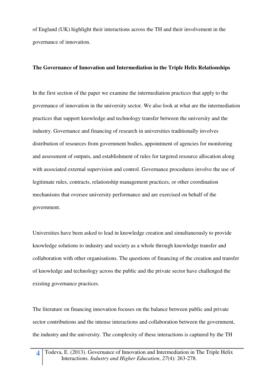of England (UK) highlight their interactions across the TH and their involvement in the governance of innovation.

### **The Governance of Innovation and Intermediation in the Triple Helix Relationships**

In the first section of the paper we examine the intermediation practices that apply to the governance of innovation in the university sector. We also look at what are the intermediation practices that support knowledge and technology transfer between the university and the industry. Governance and financing of research in universities traditionally involves distribution of resources from government bodies, appointment of agencies for monitoring and assessment of outputs, and establishment of rules for targeted resource allocation along with associated external supervision and control. Governance procedures involve the use of legitimate rules, contracts, relationship management practices, or other coordination mechanisms that oversee university performance and are exercised on behalf of the government.

Universities have been asked to lead in knowledge creation and simultaneously to provide knowledge solutions to industry and society as a whole through knowledge transfer and collaboration with other organisations. The questions of financing of the creation and transfer of knowledge and technology across the public and the private sector have challenged the existing governance practices.

The literature on financing innovation focuses on the balance between public and private sector contributions and the intense interactions and collaboration between the government, the industry and the university. The complexity of these interactions is captured by the TH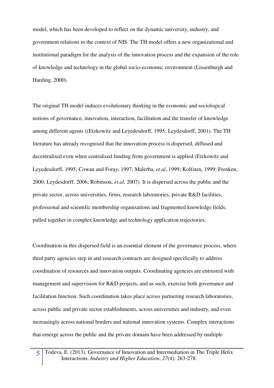model, which has been developed to reflect on the dynamic university, industry, and government relations in the context of NIS. The TH model offers a new organizational and institutional paradigm for the analysis of the innovation process and the expansion of the role of knowledge and technology in the global socio-economic environment (Lissenburgh and Harding, 2000).

The original TH model induces evolutionary thinking in the economic and sociological notions of governance, innovation, interaction, facilitation and the transfer of knowledge among different agents ((Etzkowitz and Leyedesdorff, 1995; Leydesdorff, 2001). The TH literature has already recognised that the innovation process is dispersed, diffused and decentralised even when centralised funding from government is applied (Etzkowitz and Leyedesdorff, 1995; Cowan and Foray, 1997; Malerba, *et.al*, 1999; Kolfsten, 1999; Frenken, 2000; Leydesdorff, 2006; Robinson, *et.al,* 2007). It is dispersed across the public and the private sector, across universities, firms, research laboratories, private R&D facilities, professional and scientific membership organisations and fragmented knowledge fields, pulled together in complex knowledge and technology application trajectories.

Coordination in this dispersed field is an essential element of the governance process, where third party agencies step in and research contracts are designed specifically to address coordination of resources and innovation outputs. Coordinating agencies are entrusted with management and supervision for R&D projects, and as such, exercise both governance and facilitation function. Such coordination takes place across partnering research laboratories, across public and private sector establishments, across universities and industry, and even increasingly across national borders and national innovation systems. Complex interactions that emerge across the public and the private domain have been addressed by multiple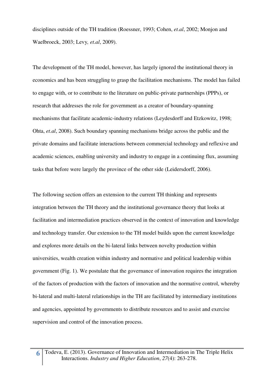disciplines outside of the TH tradition (Roessner, 1993; Cohen, *et.al*, 2002; Monjon and Waelbroeck, 2003; Levy*, et.al*, 2009).

The development of the TH model, however, has largely ignored the institutional theory in economics and has been struggling to grasp the facilitation mechanisms. The model has failed to engage with, or to contribute to the literature on public-private partnerships (PPPs), or research that addresses the role for government as a creator of boundary-spanning mechanisms that facilitate academic-industry relations (Leydesdorff and Etzkowitz, 1998; Ohta, *et.al*, 2008). Such boundary spanning mechanisms bridge across the public and the private domains and facilitate interactions between commercial technology and reflexive and academic sciences, enabling university and industry to engage in a continuing flux, assuming tasks that before were largely the province of the other side (Leidersdorff, 2006).

The following section offers an extension to the current TH thinking and represents integration between the TH theory and the institutional governance theory that looks at facilitation and intermediation practices observed in the context of innovation and knowledge and technology transfer. Our extension to the TH model builds upon the current knowledge and explores more details on the bi-lateral links between novelty production within universities, wealth creation within industry and normative and political leadership within government (Fig. 1). We postulate that the governance of innovation requires the integration of the factors of production with the factors of innovation and the normative control, whereby bi-lateral and multi-lateral relationships in the TH are facilitated by intermediary institutions and agencies, appointed by governments to distribute resources and to assist and exercise supervision and control of the innovation process.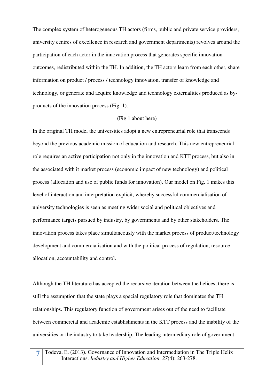The complex system of heterogeneous TH actors (firms, public and private service providers, university centres of excellence in research and government departments) revolves around the participation of each actor in the innovation process that generates specific innovation outcomes, redistributed within the TH. In addition, the TH actors learn from each other, share information on product / process / technology innovation, transfer of knowledge and technology, or generate and acquire knowledge and technology externalities produced as byproducts of the innovation process (Fig. 1).

### (Fig 1 about here)

In the original TH model the universities adopt a new entrepreneurial role that transcends beyond the previous academic mission of education and research. This new entrepreneurial role requires an active participation not only in the innovation and KTT process, but also in the associated with it market process (economic impact of new technology) and political process (allocation and use of public funds for innovation). Our model on Fig. 1 makes this level of interaction and interpretation explicit, whereby successful commercialisation of university technologies is seen as meeting wider social and political objectives and performance targets pursued by industry, by governments and by other stakeholders. The innovation process takes place simultaneously with the market process of product/technology development and commercialisation and with the political process of regulation, resource allocation, accountability and control.

Although the TH literature has accepted the recursive iteration between the helices, there is still the assumption that the state plays a special regulatory role that dominates the TH relationships. This regulatory function of government arises out of the need to facilitate between commercial and academic establishments in the KTT process and the inability of the universities or the industry to take leadership. The leading intermediary role of government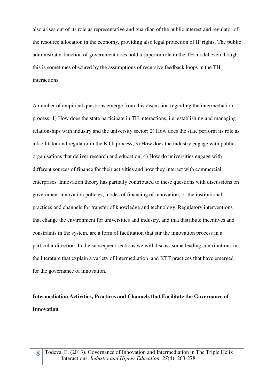also arises out of its role as representative and guardian of the public interest and regulator of the resource allocation in the economy, providing also legal protection of IP rights. The public administrator function of government does hold a superior role in the TH model even though this is sometimes obscured by the assumptions of recursive feedback loops in the TH interactions.

A number of empirical questions emerge from this discussion regarding the intermediation process: 1) How does the state participate in TH interactions, i.e. establishing and managing relationships with industry and the university sector; 2) How does the state perform its role as a facilitator and regulator in the KTT process; 3) How does the industry engage with public organisations that deliver research and education; 4) How do universities engage with different sources of finance for their activities and how they interact with commercial enterprises. Innovation theory has partially contributed to these questions with discussions on government innovation policies, modes of financing of innovation, or the institutional practices and channels for transfer of knowledge and technology. Regulatory interventions that change the environment for universities and industry, and that distribute incentives and constraints in the system, are a form of facilitation that stir the innovation process in a particular direction. In the subsequent sections we will discuss some leading contributions in the literature that explain a variety of intermediation and KTT practices that have emerged for the governance of innovation.

# **Intermediation Activities, Practices and Channels that Facilitate the Governance of Innovation**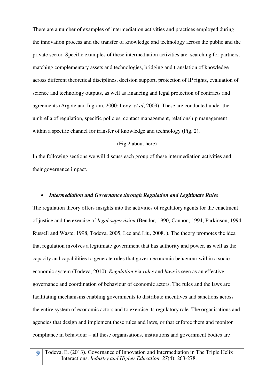There are a number of examples of intermediation activities and practices employed during the innovation process and the transfer of knowledge and technology across the public and the private sector. Specific examples of these intermediation activities are: searching for partners, matching complementary assets and technologies, bridging and translation of knowledge across different theoretical disciplines, decision support, protection of IP rights, evaluation of science and technology outputs, as well as financing and legal protection of contracts and agreements (Argote and Ingram, 2000; Levy, *et.al*, 2009). These are conducted under the umbrella of regulation, specific policies, contact management, relationship management within a specific channel for transfer of knowledge and technology (Fig. 2).

### (Fig 2 about here)

In the following sections we will discuss each group of these intermediation activities and their governance impact.

#### *Intermediation and Governance through Regulation and Legitimate Rules*

The regulation theory offers insights into the activities of regulatory agents for the enactment of justice and the exercise of *legal supervision* (Bendor, 1990, Cannon, 1994, Parkinson, 1994, Russell and Waste, 1998, Todeva, 2005, Lee and Liu, 2008, ). The theory promotes the idea that regulation involves a legitimate government that has authority and power, as well as the capacity and capabilities to generate rules that govern economic behaviour within a socioeconomic system (Todeva, 2010). *Regulation* via *rules* and *laws* is seen as an effective governance and coordination of behaviour of economic actors. The rules and the laws are facilitating mechanisms enabling governments to distribute incentives and sanctions across the entire system of economic actors and to exercise its regulatory role. The organisations and agencies that design and implement these rules and laws, or that enforce them and monitor compliance in behaviour – all these organisations, institutions and government bodies are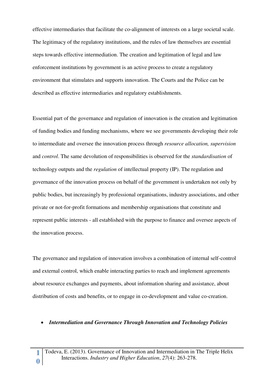effective intermediaries that facilitate the co-alignment of interests on a large societal scale. The legitimacy of the regulatory institutions, and the rules of law themselves are essential steps towards effective intermediation. The creation and legitimation of legal and law enforcement institutions by government is an active process to create a regulatory environment that stimulates and supports innovation. The Courts and the Police can be described as effective intermediaries and regulatory establishments.

Essential part of the governance and regulation of innovation is the creation and legitimation of funding bodies and funding mechanisms, where we see governments developing their role to intermediate and oversee the innovation process through *resource allocation, supervision* and *control*. The same devolution of responsibilities is observed for the *standardisation* of technology outputs and the *regulation* of intellectual property (IP). The regulation and governance of the innovation process on behalf of the government is undertaken not only by public bodies, but increasingly by professional organisations, industry associations, and other private or not-for-profit formations and membership organisations that constitute and represent public interests - all established with the purpose to finance and oversee aspects of the innovation process.

The governance and regulation of innovation involves a combination of internal self-control and external control, which enable interacting parties to reach and implement agreements about resource exchanges and payments, about information sharing and assistance, about distribution of costs and benefits, or to engage in co-development and value co-creation.

#### *Intermediation and Governance Through Innovation and Technology Policies*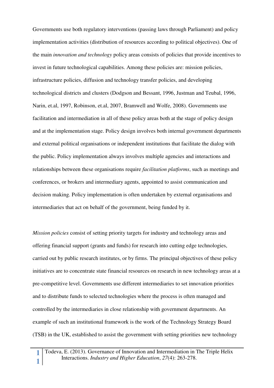Governments use both regulatory interventions (passing laws through Parliament) and policy implementation activities (distribution of resources according to political objectives). One of the main *innovation and technology* policy areas consists of policies that provide incentives to invest in future technological capabilities. Among these policies are: mission policies, infrastructure policies, diffusion and technology transfer policies, and developing technological districts and clusters (Dodgson and Bessant, 1996, Justman and Teubal, 1996, Narin, et.al, 1997, Robinson, et.al, 2007, Bramwell and Wolfe, 2008). Governments use facilitation and intermediation in all of these policy areas both at the stage of policy design and at the implementation stage. Policy design involves both internal government departments and external political organisations or independent institutions that facilitate the dialog with the public. Policy implementation always involves multiple agencies and interactions and relationships between these organisations require *facilitation platforms*, such as meetings and conferences, or brokers and intermediary agents, appointed to assist communication and decision making. Policy implementation is often undertaken by external organisations and intermediaries that act on behalf of the government, being funded by it.

*Mission policies* consist of setting priority targets for industry and technology areas and offering financial support (grants and funds) for research into cutting edge technologies, carried out by public research institutes, or by firms. The principal objectives of these policy initiatives are to concentrate state financial resources on research in new technology areas at a pre-competitive level. Governments use different intermediaries to set innovation priorities and to distribute funds to selected technologies where the process is often managed and controlled by the intermediaries in close relationship with government departments. An example of such an institutional framework is the work of the Technology Strategy Board (TSB) in the UK, established to assist the government with setting priorities new technology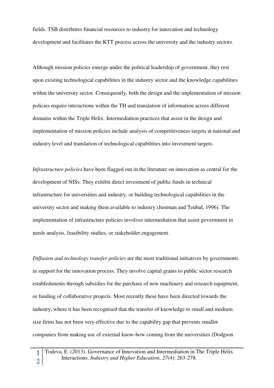fields. TSB distributes financial resources to industry for innovation and technology development and facilitates the KTT process across the university and the industry sectors.

Although mission policies emerge under the political leadership of government, they rest upon existing technological capabilities in the industry sector and the knowledge capabilities within the university sector. Consequently, both the design and the implementation of mission policies require interactions within the TH and translation of information across different domains within the Triple Helix. Intermediation practices that assist in the design and implementation of mission policies include analysis of competitiveness targets at national and industry level and translation of technological capabilities into investment targets.

*Infrastructure policies* have been flagged out in the literature on innovation as central for the development of NISs. They exhibit direct investment of public funds in technical infrastructure for universities and industry, or building technological capabilities in the university sector and making them available to industry (Justman and Teubal, 1996). The implementation of infrastructure policies involves intermediation that assist government in needs analysis, feasibility studies, or stakeholder engagement.

*Diffusion and technology transfer policies* are the most traditional initiatives by governments in support for the innovation process. They involve capital grants to public sector research establishments through subsidies for the purchase of new machinery and research equipment, or funding of collaborative projects. Most recently these have been directed towards the industry, where it has been recognised that the transfer of knowledge to small and medium size firms has not been very effective due to the capability gap that prevents smaller companies from making use of external know-how coming from the universities (Dodgson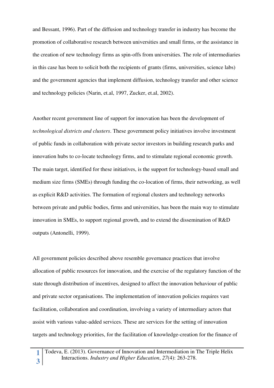and Bessant, 1996). Part of the diffusion and technology transfer in industry has become the promotion of collaborative research between universities and small firms, or the assistance in the creation of new technology firms as spin-offs from universities. The role of intermediaries in this case has been to solicit both the recipients of grants (firms, universities, science labs) and the government agencies that implement diffusion, technology transfer and other science and technology policies (Narin, et.al, 1997, Zucker, et.al, 2002).

Another recent government line of support for innovation has been the development of *technological districts and clusters*. These government policy initiatives involve investment of public funds in collaboration with private sector investors in building research parks and innovation hubs to co-locate technology firms, and to stimulate regional economic growth. The main target, identified for these initiatives, is the support for technology-based small and medium size firms (SMEs) through funding the co-location of firms, their networking, as well as explicit R&D activities. The formation of regional clusters and technology networks between private and public bodies, firms and universities, has been the main way to stimulate innovation in SMEs, to support regional growth, and to extend the dissemination of R&D outputs (Antonelli, 1999).

All government policies described above resemble governance practices that involve allocation of public resources for innovation, and the exercise of the regulatory function of the state through distribution of incentives, designed to affect the innovation behaviour of public and private sector organisations. The implementation of innovation policies requires vast facilitation, collaboration and coordination, involving a variety of intermediary actors that assist with various value-added services. These are services for the setting of innovation targets and technology priorities, for the facilitation of knowledge-creation for the finance of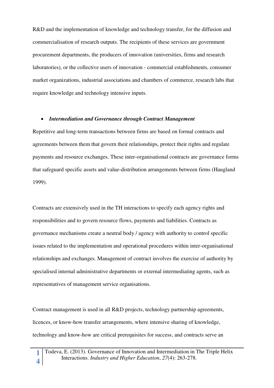R&D and the implementation of knowledge and technology transfer, for the diffusion and commercialisation of research outputs. The recipients of these services are government procurement departments, the producers of innovation (universities, firms and research laboratories), or the collective users of innovation - commercial establishments, consumer market organizations, industrial associations and chambers of commerce, research labs that require knowledge and technology intensive inputs.

#### *Intermediation and Governance through Contract Management*

Repetitive and long-term transactions between firms are based on formal contracts and agreements between them that govern their relationships, protect their rights and regulate payments and resource exchanges. These inter-organisational contracts are governance forms that safeguard specific assets and value-distribution arrangements between firms (Haugland 1999).

Contracts are extensively used in the TH interactions to specify each agency rights and responsibilities and to govern resource flows, payments and liabilities. Contracts as governance mechanisms create a neutral body / agency with authority to control specific issues related to the implementation and operational procedures within inter-organisational relationships and exchanges. Management of contract involves the exercise of authority by specialised internal administrative departments or external intermediating agents, such as representatives of management service organisations.

Contract management is used in all R&D projects, technology partnership agreements, licences, or know-how transfer arrangements, where intensive sharing of knowledge, technology and know-how are critical prerequisites for success, and contracts serve an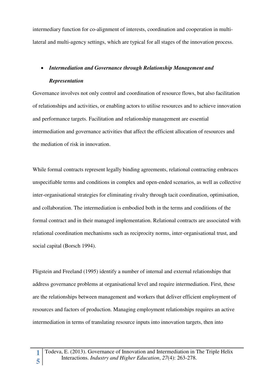intermediary function for co-alignment of interests, coordination and cooperation in multilateral and multi-agency settings, which are typical for all stages of the innovation process.

# *Intermediation and Governance through Relationship Management and*

# *Representation*

**1**

Governance involves not only control and coordination of resource flows, but also facilitation of relationships and activities, or enabling actors to utilise resources and to achieve innovation and performance targets. Facilitation and relationship management are essential intermediation and governance activities that affect the efficient allocation of resources and the mediation of risk in innovation.

While formal contracts represent legally binding agreements, relational contracting embraces unspecifiable terms and conditions in complex and open-ended scenarios, as well as collective inter-organisational strategies for eliminating rivalry through tacit coordination, optimisation, and collaboration. The intermediation is embodied both in the terms and conditions of the formal contract and in their managed implementation. Relational contracts are associated with relational coordination mechanisms such as reciprocity norms, inter-organisational trust, and social capital (Borsch 1994).

Fligstein and Freeland (1995) identify a number of internal and external relationships that address governance problems at organisational level and require intermediation. First, these are the relationships between management and workers that deliver efficient employment of resources and factors of production. Managing employment relationships requires an active intermediation in terms of translating resource inputs into innovation targets, then into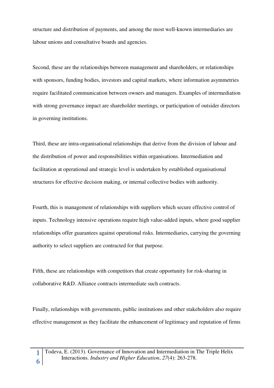structure and distribution of payments, and among the most well-known intermediaries are labour unions and consultative boards and agencies.

Second, these are the relationships between management and shareholders, or relationships with sponsors, funding bodies, investors and capital markets, where information asymmetries require facilitated communication between owners and managers. Examples of intermediation with strong governance impact are shareholder meetings, or participation of outsider directors in governing institutions.

Third, these are intra-organisational relationships that derive from the division of labour and the distribution of power and responsibilities within organisations. Intermediation and facilitation at operational and strategic level is undertaken by established organisational structures for effective decision making, or internal collective bodies with authority.

Fourth, this is management of relationships with suppliers which secure effective control of inputs. Technology intensive operations require high value-added inputs, where good supplier relationships offer guarantees against operational risks. Intermediaries, carrying the governing authority to select suppliers are contracted for that purpose.

Fifth, these are relationships with competitors that create opportunity for risk-sharing in collaborative R&D. Alliance contracts intermediate such contracts.

Finally, relationships with governments, public institutions and other stakeholders also require effective management as they facilitate the enhancement of legitimacy and reputation of firms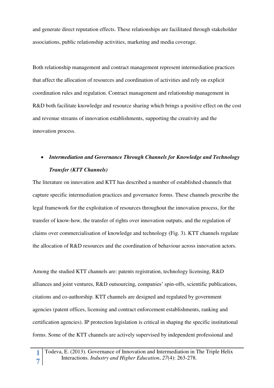and generate direct reputation effects. These relationships are facilitated through stakeholder associations, public relationship activities, marketing and media coverage.

Both relationship management and contract management represent intermediation practices that affect the allocation of resources and coordination of activities and rely on explicit coordination rules and regulation. Contract management and relationship management in R&D both facilitate knowledge and resource sharing which brings a positive effect on the cost and revenue streams of innovation establishments, supporting the creativity and the innovation process.

# *Intermediation and Governance Through Channels for Knowledge and Technology Transfer (KTT Channels)*

The literature on innovation and KTT has described a number of established channels that capture specific intermediation practices and governance forms. These channels prescribe the legal framework for the exploitation of resources throughout the innovation process, for the transfer of know-how, the transfer of rights over innovation outputs, and the regulation of claims over commercialisation of knowledge and technology (Fig. 3). KTT channels regulate the allocation of R&D resources and the coordination of behaviour across innovation actors.

Among the studied KTT channels are: patents registration, technology licensing, R&D alliances and joint ventures, R&D outsourcing, companies' spin-offs, scientific publications, citations and co-authorship. KTT channels are designed and regulated by government agencies (patent offices, licensing and contract enforcement establishments, ranking and certification agencies). IP protection legislation is critical in shaping the specific institutional forms. Some of the KTT channels are actively supervised by independent professional and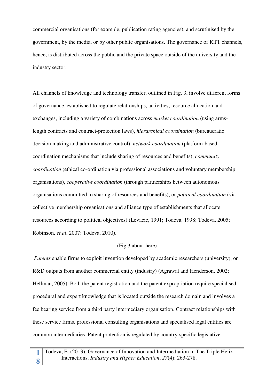commercial organisations (for example, publication rating agencies), and scrutinised by the government, by the media, or by other public organisations. The governance of KTT channels, hence, is distributed across the public and the private space outside of the university and the industry sector.

All channels of knowledge and technology transfer, outlined in Fig. 3, involve different forms of governance, established to regulate relationships, activities, resource allocation and exchanges, including a variety of combinations across *market coordination* (using armslength contracts and contract-protection laws), *hierarchical coordination* (bureaucratic decision making and administrative control), *network coordination* (platform-based coordination mechanisms that include sharing of resources and benefits), *community coordination* (ethical co-ordination via professional associations and voluntary membership organisations), *cooperative coordination* (through partnerships between autonomous organisations committed to sharing of resources and benefits), or *political coordination* (via collective membership organisations and alliance type of establishments that allocate resources according to political objectives) (Levacic, 1991; Todeva, 1998; Todeva, 2005; Robinson, *et.al*, 2007; Todeva, 2010).

#### (Fig 3 about here)

 *Patents* enable firms to exploit invention developed by academic researchers (university), or R&D outputs from another commercial entity (industry) (Agrawal and Henderson, 2002; Hellman, 2005). Both the patent registration and the patent expropriation require specialised procedural and expert knowledge that is located outside the research domain and involves a fee bearing service from a third party intermediary organisation. Contract relationships with these service firms, professional consulting organisations and specialised legal entities are common intermediaries. Patent protection is regulated by country-specific legislative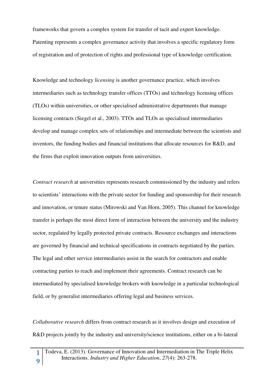frameworks that govern a complex system for transfer of tacit and expert knowledge. Patenting represents a complex governance activity that involves a specific regulatory form of registration and of protection of rights and professional type of knowledge certification.

Knowledge and technology *licensing* is another governance practice, which involves intermediaries such as technology transfer offices (TTOs) and technology licensing offices (TLOs) within universities, or other specialised administrative departments that manage licensing contracts (Siegel et al., 2003). TTOs and TLOs as specialised intermediaries develop and manage complex sets of relationships and intermediate between the scientists and inventors, the funding bodies and financial institutions that allocate resources for R&D, and the firms that exploit innovation outputs from universities.

*Contract research* at universities represents research commissioned by the industry and refers to scientists' interactions with the private sector for funding and sponsorship for their research and innovation, or tenure status (Mirowski and Van Horn, 2005). This channel for knowledge transfer is perhaps the most direct form of interaction between the university and the industry sector, regulated by legally protected private contracts. Resource exchanges and interactions are governed by financial and technical specifications in contracts negotiated by the parties. The legal and other service intermediaries assist in the search for contractors and enable contracting parties to reach and implement their agreements. Contract research can be intermediated by specialised knowledge brokers with knowledge in a particular technological field, or by generalist intermediaries offering legal and business services.

*Collaborative research* differs from contract research as it involves design and execution of R&D projects jointly by the industry and university/science institutions, either on a bi-lateral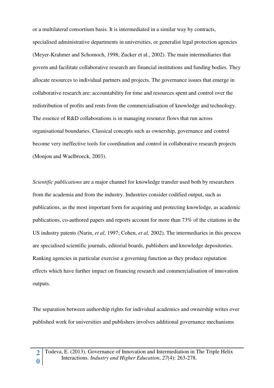or a multilateral consortium basis. It is intermediated in a similar way by contracts, specialised administrative departments in universities, or generalist legal protection agencies (Meyer-Krahmer and Schomoch, 1998; Zucker et al., 2002). The main intermediaries that govern and facilitate collaborative research are financial institutions and funding bodies. They allocate resources to individual partners and projects. The governance issues that emerge in collaborative research are: accountability for time and resources spent and control over the redistribution of profits and rents from the commercialisation of knowledge and technology. The essence of R&D collaborations is in managing resource flows that run across organisational boundaries. Classical concepts such as ownership, governance and control become very ineffective tools for coordination and control in collaborative research projects (Monjon and Waelbroeck, 2003).

*Scientific publications* are a major channel for knowledge transfer used both by researchers from the academia and from the industry. Industries consider codified output, such as publications, as the most important form for acquiring and protecting knowledge, as academic publications, co-authored papers and reports account for more than 73% of the citations in the US industry patents (Narin, *et al*, 1997; Cohen, *et al,* 2002). The intermediaries in this process are specialised scientific journals, editorial boards, publishers and knowledge depositories. Ranking agencies in particular exercise a governing function as they produce reputation effects which have further impact on financing research and commercialisation of innovation outputs.

The separation between authorship rights for individual academics and ownership writes over published work for universities and publishers involves additional governance mechanisms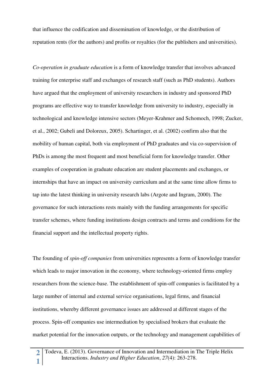that influence the codification and dissemination of knowledge, or the distribution of reputation rents (for the authors) and profits or royalties (for the publishers and universities).

*Co-operation in graduate education* is a form of knowledge transfer that involves advanced training for enterprise staff and exchanges of research staff (such as PhD students). Authors have argued that the employment of university researchers in industry and sponsored PhD programs are effective way to transfer knowledge from university to industry, especially in technological and knowledge intensive sectors (Meyer-Krahmer and Schomoch, 1998; Zucker, et al., 2002; Gubeli and Doloreux, 2005). Schartinger, et al. (2002) confirm also that the mobility of human capital, both via employment of PhD graduates and via co-supervision of PhDs is among the most frequent and most beneficial form for knowledge transfer. Other examples of cooperation in graduate education are student placements and exchanges, or internships that have an impact on university curriculum and at the same time allow firms to tap into the latest thinking in university research labs (Argote and Ingram, 2000). The governance for such interactions rests mainly with the funding arrangements for specific transfer schemes, where funding institutions design contracts and terms and conditions for the financial support and the intellectual property rights.

The founding of *spin-off companies* from universities represents a form of knowledge transfer which leads to major innovation in the economy, where technology-oriented firms employ researchers from the science-base. The establishment of spin-off companies is facilitated by a large number of internal and external service organisations, legal firms, and financial institutions, whereby different governance issues are addressed at different stages of the process. Spin-off companies use intermediation by specialised brokers that evaluate the market potential for the innovation outputs, or the technology and management capabilities of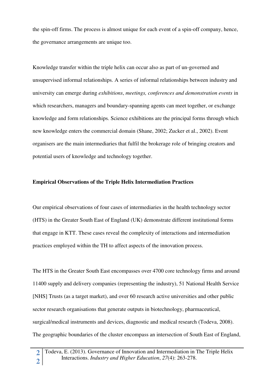the spin-off firms. The process is almost unique for each event of a spin-off company, hence, the governance arrangements are unique too.

Knowledge transfer within the triple helix can occur also as part of un-governed and unsupervised informal relationships. A series of informal relationships between industry and university can emerge during *exhibitions*, *meetings, conferences and demonstration events* in which researchers, managers and boundary-spanning agents can meet together, or exchange knowledge and form relationships. Science exhibitions are the principal forms through which new knowledge enters the commercial domain (Shane, 2002; Zucker et al., 2002). Event organisers are the main intermediaries that fulfil the brokerage role of bringing creators and potential users of knowledge and technology together.

#### **Empirical Observations of the Triple Helix Intermediation Practices**

Our empirical observations of four cases of intermediaries in the health technology sector (HTS) in the Greater South East of England (UK) demonstrate different institutional forms that engage in KTT. These cases reveal the complexity of interactions and intermediation practices employed within the TH to affect aspects of the innovation process.

The HTS in the Greater South East encompasses over 4700 core technology firms and around 11400 supply and delivery companies (representing the industry), 51 National Health Service [NHS] Trusts (as a target market), and over 60 research active universities and other public sector research organisations that generate outputs in biotechnology, pharmaceutical, surgical/medical instruments and devices, diagnostic and medical research (Todeva, 2008). The geographic boundaries of the cluster encompass an intersection of South East of England,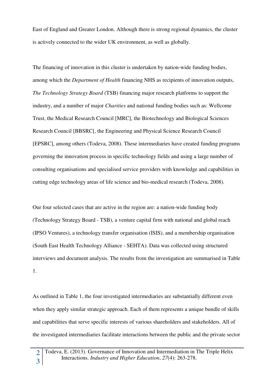East of England and Greater London. Although there is strong regional dynamics, the cluster is actively connected to the wider UK environment, as well as globally.

The financing of innovation in this cluster is undertaken by nation-wide funding bodies, among which the *Department of Health* financing NHS as recipients of innovation outputs, *The Technology Strategy Board* (TSB) financing major research platforms to support the industry, and a number of major *Charities* and national funding bodies such as: Wellcome Trust, the Medical Research Council [MRC], the Biotechnology and Biological Sciences Research Council [BBSRC[, the Engineering and Physical Science Research Council [EPSRC], among others (Todeva, 2008). These intermediaries have created funding programs governing the innovation process in specific technology fields and using a large number of consulting organisations and specialised service providers with knowledge and capabilities in cutting edge technology areas of life science and bio-medical research (Todeva, 2008).

Our four selected cases that are active in the region are: a nation-wide funding body (Technology Strategy Board - TSB), a venture capital firm with national and global reach (IPSO Ventures), a technology transfer organisation (ISIS), and a membership organisation (South East Health Technology Alliance - SEHTA). Data was collected using structured interviews and document analysis. The results from the investigation are summarised in Table 1.

As outlined in Table 1, the four investigated intermediaries are substantially different even when they apply similar strategic approach. Each of them represents a unique bundle of skills and capabilities that serve specific interests of various shareholders and stakeholders. All of the investigated intermediaries facilitate interactions between the public and the private sector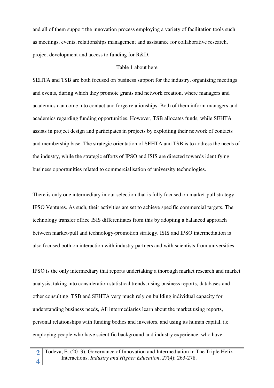and all of them support the innovation process employing a variety of facilitation tools such as meetings, events, relationships management and assistance for collaborative research, project development and access to funding for R&D.

# Table 1 about here

SEHTA and TSB are both focused on business support for the industry, organizing meetings and events, during which they promote grants and network creation, where managers and academics can come into contact and forge relationships. Both of them inform managers and academics regarding funding opportunities. However, TSB allocates funds, while SEHTA assists in project design and participates in projects by exploiting their network of contacts and membership base. The strategic orientation of SEHTA and TSB is to address the needs of the industry, while the strategic efforts of IPSO and ISIS are directed towards identifying business opportunities related to commercialisation of university technologies.

There is only one intermediary in our selection that is fully focused on market-pull strategy – IPSO Ventures. As such, their activities are set to achieve specific commercial targets. The technology transfer office ISIS differentiates from this by adopting a balanced approach between market-pull and technology-promotion strategy. ISIS and IPSO intermediation is also focused both on interaction with industry partners and with scientists from universities.

IPSO is the only intermediary that reports undertaking a thorough market research and market analysis, taking into consideration statistical trends, using business reports, databases and other consulting. TSB and SEHTA very much rely on building individual capacity for understanding business needs, All intermediaries learn about the market using reports, personal relationships with funding bodies and investors, and using its human capital, i.e. employing people who have scientific background and industry experience, who have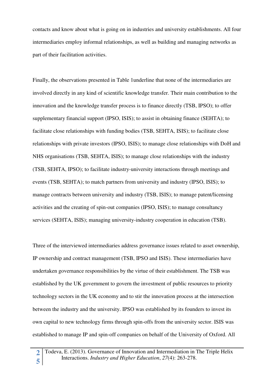contacts and know about what is going on in industries and university establishments. All four intermediaries employ informal relationships, as well as building and managing networks as part of their facilitation activities.

Finally, the observations presented in Table 1underline that none of the intermediaries are involved directly in any kind of scientific knowledge transfer. Their main contribution to the innovation and the knowledge transfer process is to finance directly (TSB, IPSO); to offer supplementary financial support (IPSO, ISIS); to assist in obtaining finance (SEHTA); to facilitate close relationships with funding bodies (TSB, SEHTA, ISIS); to facilitate close relationships with private investors (IPSO, ISIS); to manage close relationships with DoH and NHS organisations (TSB, SEHTA, ISIS); to manage close relationships with the industry (TSB, SEHTA, IPSO); to facilitate industry-university interactions through meetings and events (TSB, SEHTA); to match partners from university and industry (IPSO, ISIS); to manage contracts between university and industry (TSB, ISIS); to manage patent/licensing activities and the creating of spin-out companies (IPSO, ISIS); to manage consultancy services (SEHTA, ISIS); managing university-industry cooperation in education (TSB).

Three of the interviewed intermediaries address governance issues related to asset ownership, IP ownership and contract management (TSB, IPSO and ISIS). These intermediaries have undertaken governance responsibilities by the virtue of their establishment. The TSB was established by the UK government to govern the investment of public resources to priority technology sectors in the UK economy and to stir the innovation process at the intersection between the industry and the university. IPSO was established by its founders to invest its own capital to new technology firms through spin-offs from the university sector. ISIS was established to manage IP and spin-off companies on behalf of the University of Oxford. All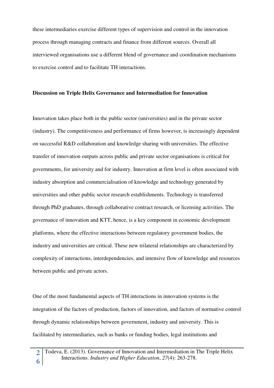these intermediaries exercise different types of supervision and control in the innovation process through managing contracts and finance from different sources. Overall all interviewed organisations use a different blend of governance and coordination mechanisms to exercise control and to facilitate TH interactions.

### **Discussion on Triple Helix Governance and Intermediation for Innovation**

Innovation takes place both in the public sector (universities) and in the private sector (industry). The competitiveness and performance of firms however, is increasingly dependent on successful R&D collaboration and knowledge sharing with universities. The effective transfer of innovation outputs across public and private sector organisations is critical for governments, for university and for industry. Innovation at firm level is often associated with industry absorption and commercialisation of knowledge and technology generated by universities and other public sector research establishments. Technology is transferred through PhD graduates, through collaborative contract research, or licensing activities. The governance of innovation and KTT, hence, is a key component in economic development platforms, where the effective interactions between regulatory government bodies, the industry and universities are critical. These new trilateral relationships are characterized by complexity of interactions, interdependencies, and intensive flow of knowledge and resources between public and private actors.

One of the most fundamental aspects of TH interactions in innovation systems is the integration of the factors of production, factors of innovation, and factors of normative control through dynamic relationships between government, industry and university. This is facilitated by intermediaries, such as banks or funding bodies, legal institutions and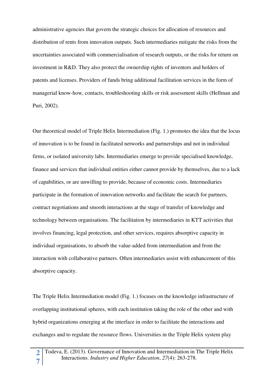administrative agencies that govern the strategic choices for allocation of resources and distribution of rents from innovation outputs. Such intermediaries mitigate the risks from the uncertainties associated with commercialisation of research outputs, or the risks for return on investment in R&D. They also protect the ownership rights of inventors and holders of patents and licenses. Providers of funds bring additional facilitation services in the form of managerial know-how, contacts, troubleshooting skills or risk assessment skills (Hellman and Puri, 2002).

Our theoretical model of Triple Helix Intermediation (Fig. 1.) promotes the idea that the locus of innovation is to be found in facilitated networks and partnerships and not in individual firms, or isolated university labs. Intermediaries emerge to provide specialised knowledge, finance and services that individual entities either cannot provide by themselves, due to a lack of capabilities, or are unwilling to provide, because of economic costs. Intermediaries participate in the formation of innovation networks and facilitate the search for partners, contract negotiations and smooth interactions at the stage of transfer of knowledge and technology between organisations. The facilitation by intermediaries in KTT activities that involves financing, legal protection, and other services, requires absorptive capacity in individual organisations, to absorb the value-added from intermediation and from the interaction with collaborative partners. Often intermediaries assist with enhancement of this absorptive capacity.

The Triple Helix Intermediation model (Fig. 1.) focuses on the knowledge infrastructure of overlapping institutional spheres, with each institution taking the role of the other and with hybrid organizations emerging at the interface in order to facilitate the interactions and exchanges and to regulate the resource flows. Universities in the Triple Helix system play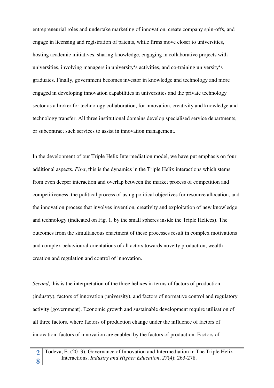entrepreneurial roles and undertake marketing of innovation, create company spin-offs, and engage in licensing and registration of patents, while firms move closer to universities, hosting academic initiatives, sharing knowledge, engaging in collaborative projects with universities, involving managers in university's activities, and co-training university's graduates. Finally, government becomes investor in knowledge and technology and more engaged in developing innovation capabilities in universities and the private technology sector as a broker for technology collaboration, for innovation, creativity and knowledge and technology transfer. All three institutional domains develop specialised service departments, or subcontract such services to assist in innovation management.

In the development of our Triple Helix Intermediation model, we have put emphasis on four additional aspects. *First*, this is the dynamics in the Triple Helix interactions which stems from even deeper interaction and overlap between the market process of competition and competitiveness, the political process of using political objectives for resource allocation, and the innovation process that involves invention, creativity and exploitation of new knowledge and technology (indicated on Fig. 1. by the small spheres inside the Triple Helices). The outcomes from the simultaneous enactment of these processes result in complex motivations and complex behavioural orientations of all actors towards novelty production, wealth creation and regulation and control of innovation.

*Second*, this is the interpretation of the three helixes in terms of factors of production (industry), factors of innovation (university), and factors of normative control and regulatory activity (government). Economic growth and sustainable development require utilisation of all three factors, where factors of production change under the influence of factors of innovation, factors of innovation are enabled by the factors of production. Factors of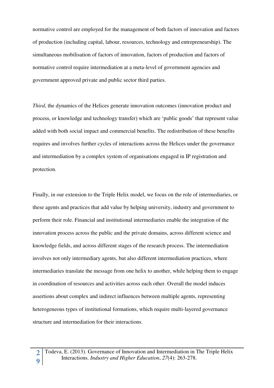normative control are employed for the management of both factors of innovation and factors of production (including capital, labour, resources, technology and entrepreneurship). The simultaneous mobilisation of factors of innovation, factors of production and factors of normative control require intermediation at a meta-level of government agencies and government approved private and public sector third parties.

*Third*, the dynamics of the Helices generate innovation outcomes (innovation product and process, or knowledge and technology transfer) which are 'public goods' that represent value added with both social impact and commercial benefits. The redistribution of these benefits requires and involves further cycles of interactions across the Helices under the governance and intermediation by a complex system of organisations engaged in IP registration and protection.

Finally, in our extension to the Triple Helix model, we focus on the role of intermediaries, or these agents and practices that add value by helping university, industry and government to perform their role. Financial and institutional intermediaries enable the integration of the innovation process across the public and the private domains, across different science and knowledge fields, and across different stages of the research process. The intermediation involves not only intermediary agents, but also different intermediation practices, where intermediaries translate the message from one helix to another, while helping them to engage in coordination of resources and activities across each other. Overall the model induces assertions about complex and indirect influences between multiple agents, representing heterogeneous types of institutional formations, which require multi-layered governance structure and intermediation for their interactions.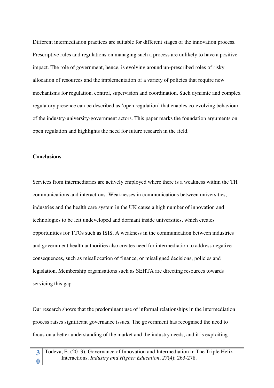Different intermediation practices are suitable for different stages of the innovation process. Prescriptive rules and regulations on managing such a process are unlikely to have a positive impact. The role of government, hence, is evolving around un-prescribed roles of risky allocation of resources and the implementation of a variety of policies that require new mechanisms for regulation, control, supervision and coordination. Such dynamic and complex regulatory presence can be described as 'open regulation' that enables co-evolving behaviour of the industry-university-government actors. This paper marks the foundation arguments on open regulation and highlights the need for future research in the field.

#### **Conclusions**

Services from intermediaries are actively employed where there is a weakness within the TH communications and interactions. Weaknesses in communications between universities, industries and the health care system in the UK cause a high number of innovation and technologies to be left undeveloped and dormant inside universities, which creates opportunities for TTOs such as ISIS. A weakness in the communication between industries and government health authorities also creates need for intermediation to address negative consequences, such as misallocation of finance, or misaligned decisions, policies and legislation. Membership organisations such as SEHTA are directing resources towards servicing this gap.

Our research shows that the predominant use of informal relationships in the intermediation process raises significant governance issues. The government has recognised the need to focus on a better understanding of the market and the industry needs, and it is exploiting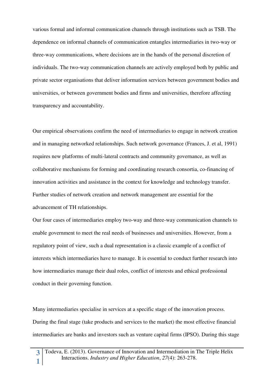various formal and informal communication channels through institutions such as TSB. The dependence on informal channels of communication entangles intermediaries in two-way or three-way communications, where decisions are in the hands of the personal discretion of individuals. The two-way communication channels are actively employed both by public and private sector organisations that deliver information services between government bodies and universities, or between government bodies and firms and universities, therefore affecting transparency and accountability.

Our empirical observations confirm the need of intermediaries to engage in network creation and in managing networked relationships. Such network governance (Frances, J. et al, 1991) requires new platforms of multi-lateral contracts and community governance, as well as collaborative mechanisms for forming and coordinating research consortia, co-financing of innovation activities and assistance in the context for knowledge and technology transfer. Further studies of network creation and network management are essential for the advancement of TH relationships.

Our four cases of intermediaries employ two-way and three-way communication channels to enable government to meet the real needs of businesses and universities. However, from a regulatory point of view, such a dual representation is a classic example of a conflict of interests which intermediaries have to manage. It is essential to conduct further research into how intermediaries manage their dual roles, conflict of interests and ethical professional conduct in their governing function.

Many intermediaries specialise in services at a specific stage of the innovation process. During the final stage (take products and services to the market) the most effective financial intermediaries are banks and investors such as venture capital firms (IPSO). During this stage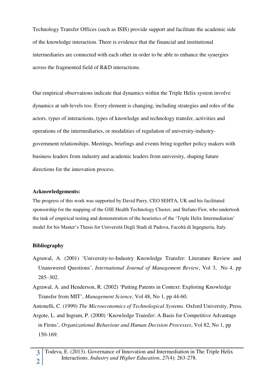Technology Transfer Offices (such as ISIS) provide support and facilitate the academic side of the knowledge interaction. There is evidence that the financial and institutional intermediaries are connected with each other in order to be able to enhance the synergies across the fragmented field of R&D interactions.

Our empirical observations indicate that dynamics within the Triple Helix system involve dynamics at sub-levels too. Every element is changing, including strategies and roles of the actors, types of interactions, types of knowledge and technology transfer, activities and operations of the intermediaries, or modalities of regulation of university-industrygovernment relationships. Meetings, briefings and events bring together policy makers with business leaders from industry and academic leaders from university, shaping future directions for the innovation process.

# **Acknowledgements:**

The progress of this work was supported by David Parry, CEO SEHTA, UK and his facilitated sponsorship for the mapping of the GSE Health Technology Cluster, and Stefano Fior, who undertook the task of empirical testing and demonstration of the heuristics of the 'Triple Helix Intermediation' model for his Master's Thesis for Università Degli Studi di Padova, Facoltà di Ingegneria, Italy.

# **Bibliography**

Agrawal, A. (2001) 'University-to-Industry Knowledge Transfer: Literature Review and Unanswered Questions', *International Journal of Management Review*, Vol 3, No 4, pp 285–302.

Agrawal, A. and Henderson, R. (2002) 'Putting Patents in Context: Exploring Knowledge Transfer from MIT', *Management Science*, Vol 48, No 1, pp 44-60.

Antonelli, C. (1999) *The Microeconomics of Technological Systems*. Oxford University, Press.

Argote, L. and Ingram, P. (2000) 'Knowledge Transfer: A Basis for Competitive Advantage in Firms', *Organizational Behaviour and Human Decision Processes*, Vol 82, No 1, pp 150-169.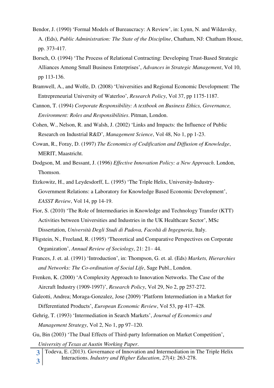- Bendor, J. (1990) 'Formal Models of Bureaucracy: A Review', in: Lynn, N. and Wildavsky, A. (Eds), *Public Administration: The State of the Discipline*, Chatham, NJ: Chatham House, pp. 373-417.
- Borsch, O. (1994) 'The Process of Relational Contracting: Developing Trust-Based Strategic Alliances Among Small Business Enterprises', *Advances in Strategic Management*, Vol 10, pp 113-136.
- Bramwell, A., and Wolfe, D. (2008) 'Universities and Regional Economic Development: The Entrepreneurial University of Waterloo', *Research Policy*, Vol 37, pp 1175-1187.
- Cannon, T. (1994) *Corporate Responsibility: A textbook on Business Ethics, Governance, Environment: Roles and Responsibilities*. Pitman, London.
- Cohen, W., Nelson, R. and Walsh, J. (2002) 'Links and Impacts: the Influence of Public Research on Industrial R&D', *Management Science*, Vol 48, No 1, pp 1-23.
- Cowan, R., Foray, D. (1997) *The Economics of Codification and Diffusion of Knowledge*, MERIT, Maastricht.
- Dodgson, M. and Bessant, J. (1996) *Effective Innovation Policy: a New Approach*. London, Thomson.
- Etzkowitz, H., and Leydesdorff, L. (1995) 'The Triple Helix, University-Industry-Government Relations: a Laboratory for Knowledge Based Economic Development', *EASST Review*, Vol 14, pp 14-19.
- Fior, S. (2010) 'The Role of Intermediaries in Knowledge and Technology Transfer (KTT) Activities between Universities and Industries in the UK Healthcare Sector', MSc Dissertation, *Università Degli Studi di Padova, Facoltà di Ingegneria*, Italy.
- Fligstein, N., Freeland, R. (1995) 'Theoretical and Comparative Perspectives on Corporate Organization', *Annual Review of Sociology*, 21: 21– 44.
- Frances, J. et. al. (1991) 'Introduction', in: Thompson, G. et. al. (Eds) *Markets, Hierarchies and Networks: The Co-ordination of Social Life*, Sage Publ., London.
- Frenken, K. (2000) 'A Complexity Approach to Innovation Networks. The Case of the Aircraft Industry (1909-1997)', *Research Policy*, Vol 29, No 2, pp 257-272.
- Galeotti, Andrea; Moraga-Gonzalez, Jose (2009) 'Platform Intermediation in a Market for Differentiated Products', *European Economic Review*, Vol 53, pp 417–428.
- Gehrig, T. (1993) 'Intermediation in Search Markets', *Journal of Economics and Management Strategy*, Vol 2, No 1, pp 97–120.
- Gu, Bin (2003) 'The Dual Effects of Third-party Information on Market Competition',

*University of Texas at Austin Working Paper*.

**3 3**  Todeva, E. (2013). Governance of Innovation and Intermediation in The Triple Helix Interactions. *Industry and Higher Education*, *27*(4): 263-278.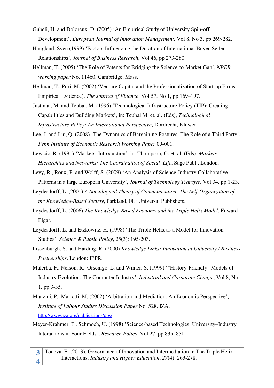- Gubeli, H. and Doloreux, D. (2005) 'An Empirical Study of University Spin-off Development', *European Journal of Innovation Management*, Vol 8, No 3, pp 269-282.
- Haugland, Sven (1999) 'Factors Influencing the Duration of International Buyer-Seller Relationships', *Journal of Business Research*, Vol 46, pp 273-280.
- Hellman, T. (2005) 'The Role of Patents for Bridging the Science-to-Market Gap', *NBER working paper* No. 11460, Cambridge, Mass.
- Hellman, T., Puri, M. (2002) 'Venture Capital and the Professionalization of Start-up Firms: Empirical Evidence), *The Journal of Finance*, Vol 57, No 1, pp 169–197.

Justman, M. and Teubal, M. (1996) 'Technological Infrastructure Policy (TIP): Creating Capabilities and Building Markets', in: Teubal M. et. al. (Eds), *Technological Infrastructure Policy: An International Perspective*, Dordrecht, Kluwer.

- Lee, J. and Liu, Q. (2008) 'The Dynamics of Bargaining Postures: The Role of a Third Party', *Penn Institute of Economic Research Working Paper* 09-001.
- Levacic, R. (1991) 'Markets: Introduction', in: Thompson, G. et. al, (Eds), *Markets, Hierarchies and Networks: The Coordination of Social Life*, Sage Publ., London.
- Levy, R., Roux, P. and Wolff, S. (2009) 'An Analysis of Science-Industry Collaborative Patterns in a large European University', *Journal of Technology Transfer*, Vol 34, pp 1-23.
- Leydesdorff, L. (2001) *A Sociological Theory of Communication: The Self-Organization of the Knowledge-Based Society*, Parkland, FL: Universal Publishers.
- Leydesdorff, L. (2006) *The Knowledge-Based Economy and the Triple Helix Model*. Edward Elgar.
- Leydesdorff, L. and Etzkowitz, H. (1998) 'The Triple Helix as a Model for Innovation Studies', *Science & Public Policy*, 25(3): 195-203.
- Lissenburgh, S. and Harding, R. (2000) *Knowledge Links: Innovation in University / Business Partnerships*. London: IPPR.
- Malerba, F., Nelson, R., Orsenigo, L. and Winter, S. (1999) '"History-Friendly" Models of Industry Evolution: The Computer Industry', *Industrial and Corporate Change*, Vol 8, No 1, pp 3-35.
- Manzini, P., Mariotti, M. (2002) 'Arbitration and Mediation: An Economic Perspective', *Institute of Labour Studies Discussion Paper* No. 528, IZA, [http://www.iza.org/publications/dps/.](http://www.iza.org/publications/dps/)
- Meyer-Krahmer, F., Schmoch, U. (1998) 'Science-based Technologies: University–Industry Interactions in Four Fields', *Research Policy*, Vol 27, pp 835–851.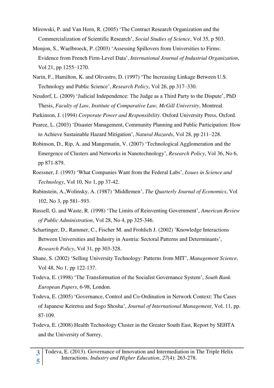- Mirowski, P. and Van Horn, R. (2005) 'The Contract Research Organization and the Commercialization of Scientific Research', *Social Studies of Science*, Vol 35, p 503.
- Monjon, S., Waelbroeck, P. (2003) 'Assessing Spillovers from Universities to Firms: Evidence from French Firm-Level Data', *International Journal of Industrial Organization*, Vol 21, pp 1255–1270.
- Narin, F., Hamilton, K. and Olivastro, D. (1997) 'The Increasing Linkage Between U.S. Technology and Public Science', *Research Policy*, Vol 26, pp 317–330.
- Neudorf, L. (2009) 'Judicial Independence: The Judge as a Third Party to the Dispute', PhD Thesis, *Faculty of Law, Institute of Comparative Law, McGill University*, Montreal.
- Parkinson, J. (1994) *Corporate Power and Responsibility*. Oxford University Press, Oxford.
- Pearce, L. (2003) 'Disaster Management, Community Planning and Public Participation: How to Achieve Sustainable Hazard Mitigation', *Natural Hazards*, Vol 28, pp 211–228.
- Robinson, D., Rip, A. and Mangematin, V. (2007) 'Technological Agglomeration and the Emergence of Clusters and Networks in Nanotechnology', *Research Policy*, Vol 36, No 6, pp 871-879.
- Roessner, J. (1993) 'What Companies Want from the Federal Labs', *Issues in Science and Technology*, Vol 10, No 1, pp 37-42.
- Rubinstein, A.,Wolinsky, A. (1987) 'Middlemen', *The Quarterly Journal of Economics*, Vol 102, No 3, pp 581–593.
- Russell, G. and Waste, R. (1998) 'The Limits of Reinventing Government', *American Review of Public Administration*, Vol 28, No 4, pp 325-346.
- Schartinger, D., Rammer, C., Fischer M. and Frohlich J. (2002) 'Knowledge Interactions Between Universities and Industry in Austria: Sectoral Patterns and Determinants', *Research Policy*, Vol 31, pp 303-328.
- Shane, S. (2002) 'Selling University Technology: Patterns from MIT', *Management Science*, Vol 48, No 1, pp 122-137.
- Todeva, E. (1998) 'The Transformation of the Socialist Governance System', *South Bank European Papers*, 6-98, London.
- Todeva, E. (2005) 'Governance, Control and Co-Ordination in Network Context: The Cases of Japanese Keiretsu and Sogo Shosha', *Journal of International Management*, Vol. 11, pp. 87-109.
- Todeva, E. (2008) Health Technology Cluster in the Greater South East, Report by SEHTA and the University of Surrey.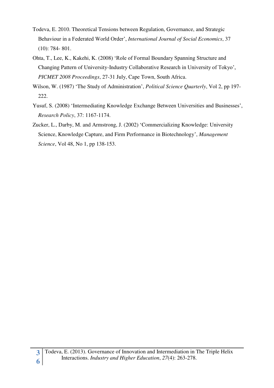- Todeva, E. 2010. Theoretical Tensions between Regulation, Governance, and Strategic Behaviour in a Federated World Order', *International Journal of Social Economics*, 37 (10): 784- 801.
- Ohta, T., Lee, K., Kakehi, K. (2008) 'Role of Formal Boundary Spanning Structure and Changing Pattern of University-Industry Collaborative Research in University of Tokyo', *PICMET 2008 Proceedings*, 27-31 July, Cape Town, South Africa.
- Wilson, W. (1987) 'The Study of Administration', *Political Science Quarterly*, Vol 2, pp 197- 222.
- Yusuf, S. (2008) 'Intermediating Knowledge Exchange Between Universities and Businesses', *Research Policy*, 37: 1167-1174.
- Zucker, L., Darby, M. and Armstrong, J. (2002) 'Commercializing Knowledge: University Science, Knowledge Capture, and Firm Performance in Biotechnology', *Management Science*, Vol 48, No 1, pp 138-153.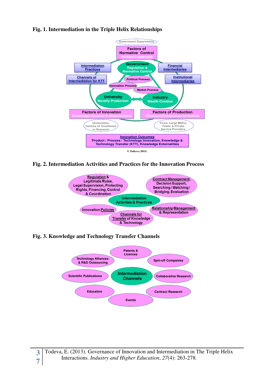# **Fig. 1. Intermediation in the Triple Helix Relationships**



**Fig. 2. Intermediation Activities and Practices for the Innovation Process** 



**Fig. 3. Knowledge and Technology Transfer Channels** 

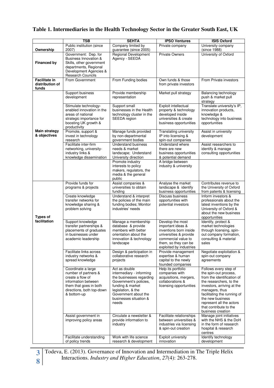# **Table 1. Intermediaries in the Health Technology Sector in the Greater South East, UK**

|                                                  | <b>TSB</b>                                                                                                                                                   | <b>SEHTA</b>                                                                                                                                                                                         | <b>IPSO Ventures</b>                                                                                                                                                | <b>ISIS Oxford</b>                                                                                                                                                                                                                                                                    |
|--------------------------------------------------|--------------------------------------------------------------------------------------------------------------------------------------------------------------|------------------------------------------------------------------------------------------------------------------------------------------------------------------------------------------------------|---------------------------------------------------------------------------------------------------------------------------------------------------------------------|---------------------------------------------------------------------------------------------------------------------------------------------------------------------------------------------------------------------------------------------------------------------------------------|
| Ownership                                        | Public institution (since<br>2007)                                                                                                                           | Company limited by<br>guarantee (since 2005)                                                                                                                                                         | Private company                                                                                                                                                     | University company<br>(since 1988)                                                                                                                                                                                                                                                    |
| <b>Financed by</b>                               | Government: Dep. for<br><b>Business Innovation &amp;</b><br>Skills, other government<br>departments, Regional<br>Development Agencies &<br>Research Councils | Regional Development<br>Agency - SEEDA                                                                                                                                                               | <b>Private Owners</b>                                                                                                                                               | University of Oxford                                                                                                                                                                                                                                                                  |
| <b>Facilitate in</b><br>distribution of<br>funds | From Government                                                                                                                                              | From Funding bodies                                                                                                                                                                                  | Own funds & those<br>from private investors                                                                                                                         | From Private investors                                                                                                                                                                                                                                                                |
|                                                  | Support business<br>development                                                                                                                              | Provide membership<br>representation                                                                                                                                                                 | Market pull strategy                                                                                                                                                | Balancing technology<br>push & market pull<br>strategy                                                                                                                                                                                                                                |
|                                                  | Stimulate technology-<br>enabled innovation in the<br>areas of national<br>strategic importance for<br>boosting UK growth &<br>productivity                  | Support small<br>businesses in the Health<br>technology cluster in the<br>SEEDA region                                                                                                               | Exploit intellectual<br>property & technology<br>developed inside<br>universities & create<br>business opportunities                                                | Translate university's IP,<br>innovation products,<br>knowledge &<br>technology into business<br>opportunities                                                                                                                                                                        |
| Main strategy<br>& objectives                    | Promote, support &<br>invest in technology<br>research                                                                                                       | Manage funds provided<br>by non-departmental<br>government bodies                                                                                                                                    | <b>Translating university</b><br>IP into licensing &<br>spin-out companies                                                                                          | Assist in university<br>development                                                                                                                                                                                                                                                   |
|                                                  | Facilitate inter-firm<br>networking, university-<br>industry links &<br>knowledge dissemination                                                              | <b>Understand business</b><br>needs & market<br>landscape; Understand<br>University direction                                                                                                        | Understand where<br>there are new<br>business opportunities<br>& potential demand                                                                                   | Assist researchers to<br>identify & manage<br>consulting opportunities                                                                                                                                                                                                                |
|                                                  |                                                                                                                                                              | Promote industry<br>interests to policy<br>makers, regulators, the<br>media & the general<br>public                                                                                                  | A bridge between<br>industry & university                                                                                                                           |                                                                                                                                                                                                                                                                                       |
|                                                  | Provide funds for<br>programs & projects                                                                                                                     | Assist companies &<br>universities to obtain<br>funding                                                                                                                                              | Analyse the market<br>landscape & identify<br>business opportunities                                                                                                | Contributes revenue to<br>the University of Oxford<br>from patents & licensing                                                                                                                                                                                                        |
| <b>Types of</b>                                  | Create knowledge<br>transfer networks for<br>knowledge sharing &<br>problem solving                                                                          | Understand & interpret<br>the policies of the main<br>funding bodies; Monitor<br>industries' needs                                                                                                   | Discuss business<br>opportunities with<br>potential investors                                                                                                       | Inform investors &<br>professionals about the<br>latest inventions by the<br>University of Oxford &<br>about the new business<br>opportunities                                                                                                                                        |
| facilitation                                     | Support knowledge<br>transfer partnerships &<br>placements of graduates<br>in businesses under<br>academic leadership                                        | Manage a membership<br>database & provide<br>members with better<br>orientation about the<br>innovation & technology<br>landscape                                                                    | Develop the most<br>important ideas &<br>inventions born inside<br>universities & provide<br>commercial value to<br>them, so they can be<br>exploited by industries | Identify, protect &<br>market technologies<br>through licensing, spin-<br>out company formation,<br>consulting & material<br>sales                                                                                                                                                    |
|                                                  | Facilitate links across<br>industry networks &<br>spread knowledge                                                                                           | Design & participation in<br>collaborative research<br>projects                                                                                                                                      | Provide management<br>expertise & human<br>capital to the newly<br>founded companies                                                                                | Negotiate exploitation &<br>spin-out company<br>agreements                                                                                                                                                                                                                            |
|                                                  | Coordinate a large<br>number of partners &<br>create a flow of<br>information between<br>them that goes in both<br>directions, both top-down<br>& bottom-up  | Act as double<br>intermediary - informing<br>the businesses regarding<br>Government's policies,<br>funding & market<br>legislation, & the<br>Government about the<br>businesses situation &<br>needs | Help its portfolio<br>companies with<br>acquisitions, mergers,<br>collaborations &<br>licensing opportunities                                                       | Follows every step of<br>the spin-out process.<br>from the identification of<br>the researchers, to the<br>investors, arriving at the<br>managers, thus<br>facilitating the running of<br>the new business<br>represent all the actors<br>that contribute to the<br>business creation |
|                                                  | Assist government in<br>improving policy areas                                                                                                               | Circulate a newsletter &<br>provide information to<br>industry                                                                                                                                       | Facilitate relationships<br>between universities &<br>industries via licensing<br>& spin-out creation                                                               | Manage joint initiatives<br>with the NHS & the DoH<br>in the form of research<br>hospital & research<br>centres                                                                                                                                                                       |
|                                                  | Facilitate understanding<br>of policy trends                                                                                                                 | Work with life science<br>research & development                                                                                                                                                     | <b>Exploit university</b><br>innovation                                                                                                                             | Identify technology<br>development                                                                                                                                                                                                                                                    |

**8** 

**3** Todeva, E. (2013). Governance of Innovation and Intermediation in The Triple Helix Interactions. *Industry and Higher Education*, *27*(4): 263-278.